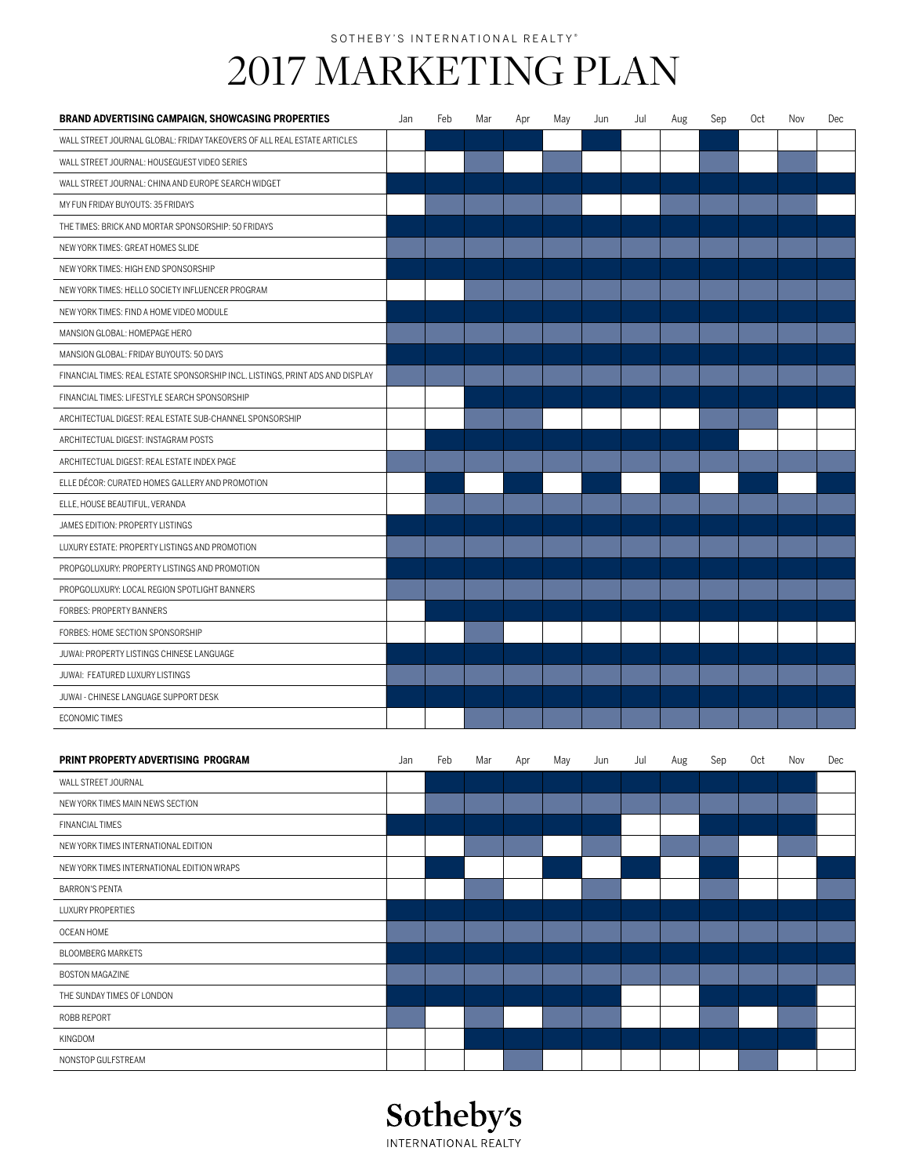## SOTHEBY'S INTERNATIONAL REALTY®

## 2017 MARKETING PLAN

| <b>BRAND ADVERTISING CAMPAIGN, SHOWCASING PROPERTIES</b>                       | Jan | Feb | Mar | Apr | May | Jun | Jul | Aug | Sep | Oct | Nov | Dec |
|--------------------------------------------------------------------------------|-----|-----|-----|-----|-----|-----|-----|-----|-----|-----|-----|-----|
| WALL STREET JOURNAL GLOBAL: FRIDAY TAKEOVERS OF ALL REAL ESTATE ARTICLES       |     |     |     |     |     |     |     |     |     |     |     |     |
| WALL STREET JOURNAL: HOUSEGUEST VIDEO SERIES                                   |     |     |     |     |     |     |     |     |     |     |     |     |
| WALL STREET JOURNAL: CHINA AND EUROPE SEARCH WIDGET                            |     |     |     |     |     |     |     |     |     |     |     |     |
| MY FUN FRIDAY BUYOUTS: 35 FRIDAYS                                              |     |     |     |     |     |     |     |     |     |     |     |     |
| THE TIMES: BRICK AND MORTAR SPONSORSHIP: 50 FRIDAYS                            |     |     |     |     |     |     |     |     |     |     |     |     |
| NEW YORK TIMES: GREAT HOMES SLIDE                                              |     |     |     |     |     |     |     |     |     |     |     |     |
| NEW YORK TIMES: HIGH END SPONSORSHIP                                           |     |     |     |     |     |     |     |     |     |     |     |     |
| NEW YORK TIMES: HELLO SOCIETY INFLUENCER PROGRAM                               |     |     |     |     |     |     |     |     |     |     |     |     |
| NEW YORK TIMES: FIND A HOME VIDEO MODULE                                       |     |     |     |     |     |     |     |     |     |     |     |     |
| MANSION GLOBAL: HOMEPAGE HERO                                                  |     |     |     |     |     |     |     |     |     |     |     |     |
| MANSION GLOBAL: FRIDAY BUYOUTS: 50 DAYS                                        |     |     |     |     |     |     |     |     |     |     |     |     |
| FINANCIAL TIMES: REAL ESTATE SPONSORSHIP INCL. LISTINGS, PRINT ADS AND DISPLAY |     |     |     |     |     |     |     |     |     |     |     |     |
| FINANCIAL TIMES: LIFESTYLE SEARCH SPONSORSHIP                                  |     |     |     |     |     |     |     |     |     |     |     |     |
| ARCHITECTUAL DIGEST: REAL ESTATE SUB-CHANNEL SPONSORSHIP                       |     |     |     |     |     |     |     |     |     |     |     |     |
| ARCHITECTUAL DIGEST: INSTAGRAM POSTS                                           |     |     |     |     |     |     |     |     |     |     |     |     |
| ARCHITECTUAL DIGEST: REAL ESTATE INDEX PAGE                                    |     |     |     |     |     |     |     |     |     |     |     |     |
| ELLE DÉCOR: CURATED HOMES GALLERY AND PROMOTION                                |     |     |     |     |     |     |     |     |     |     |     |     |
| ELLE, HOUSE BEAUTIFUL, VERANDA                                                 |     |     |     |     |     |     |     |     |     |     |     |     |
| JAMES EDITION: PROPERTY LISTINGS                                               |     |     |     |     |     |     |     |     |     |     |     |     |
| LUXURY ESTATE: PROPERTY LISTINGS AND PROMOTION                                 |     |     |     |     |     |     |     |     |     |     |     |     |
| PROPGOLUXURY: PROPERTY LISTINGS AND PROMOTION                                  |     |     |     |     |     |     |     |     |     |     |     |     |
| PROPGOLUXURY: LOCAL REGION SPOTLIGHT BANNERS                                   |     |     |     |     |     |     |     |     |     |     |     |     |
| FORBES: PROPERTY BANNERS                                                       |     |     |     |     |     |     |     |     |     |     |     |     |
| FORBES: HOME SECTION SPONSORSHIP                                               |     |     |     |     |     |     |     |     |     |     |     |     |
| JUWAI: PROPERTY LISTINGS CHINESE LANGUAGE                                      |     |     |     |     |     |     |     |     |     |     |     |     |
| JUWAI: FEATURED LUXURY LISTINGS                                                |     |     |     |     |     |     |     |     |     |     |     |     |
| JUWAI - CHINESE LANGUAGE SUPPORT DESK                                          |     |     |     |     |     |     |     |     |     |     |     |     |
| <b>ECONOMIC TIMES</b>                                                          |     |     |     |     |     |     |     |     |     |     |     |     |
|                                                                                |     |     |     |     |     |     |     |     |     |     |     |     |
| PRINT PROPERTY ADVERTISING PROGRAM                                             | Jan | Feb | Mar | Apr | May | Jun | Jul | Aug | Sep | Oct | Nov | Dec |
| WALL STREET JOURNAL                                                            |     |     |     |     |     |     |     |     |     |     |     |     |
| NEW YORK TIMES MAIN NEWS SECTION                                               |     |     |     |     |     |     |     |     |     |     |     |     |
| <b>FINANCIAL TIMES</b>                                                         |     |     |     |     |     |     |     |     |     |     |     |     |
| NEW YORK TIMES INTERNATIONAL EDITION                                           |     |     |     |     |     |     |     |     |     |     |     |     |
| NEW YORK TIMES INTERNATIONAL EDITION WRAPS                                     |     |     |     |     |     |     |     |     |     |     |     |     |
| <b>BARRON'S PENTA</b>                                                          |     |     |     |     |     |     |     |     |     |     |     |     |
| <b>LUXURY PROPERTIES</b>                                                       |     |     |     |     |     |     |     |     |     |     |     |     |
| OCEAN HOME                                                                     |     |     |     |     |     |     |     |     |     |     |     |     |
| <b>BLOOMBERG MARKETS</b>                                                       |     |     |     |     |     |     |     |     |     |     |     |     |
| <b>BOSTON MAGAZINE</b>                                                         |     |     |     |     |     |     |     |     |     |     |     |     |
| THE SUNDAY TIMES OF LONDON                                                     |     |     |     |     |     |     |     |     |     |     |     |     |
| ROBB REPORT                                                                    |     |     |     |     |     |     |     |     |     |     |     |     |



KINGDOM

NONSTOP GULFSTREAM